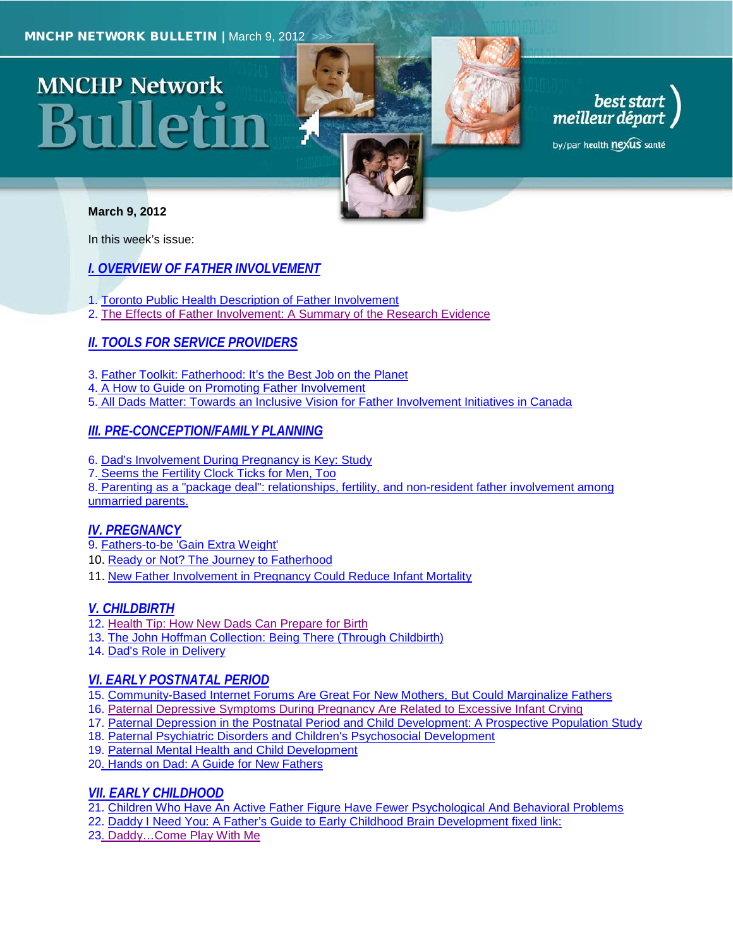# **MNCHP Network** 311lleti1



# best start<br>meilleur départ

by/par health nexus santé

#### **March 9, 2012**

In this week's issue:

## *[I. OVERVIEW OF FATHER INVOLVEMENT](#page-1-0)*

- 1. [Toronto Public Health Description of Father Involvement](#page-1-1)
- 2. [The Effects of Father Involvement: A Summary of the Research Evidence](#page-1-2)

# *[II. TOOLS FOR SERVICE PROVIDERS](#page-2-0)*

- 3. [Father Toolkit: Fatherhood: It's the Best Job on the Planet](#page-2-1)
- 4. [A How to Guide on Promoting Father Involvement](#page-2-2)
- 5. [All Dads Matter: Towards an Inclusive Vision for Father Involvement Initiatives in Canada](#page-2-3)

## *[III. PRE-CONCEPTION/FAMILY PLANNING](#page-2-4)*

- 6. Dad's [Involvement During Pregnancy is Key: Study](#page-2-5)
- 7. [Seems the Fertility Clock Ticks for Men, Too](#page-3-0)

8. [Parenting as a "package deal": relationships, fertility, and non-resident](#page-3-1) father involvement among [unmarried parents.](#page-3-1)

## *[IV. PREGNANCY](#page-3-2)*

- 9. [Fathers-to-be 'Gain Extra Weight'](#page-3-3)
- 10. [Ready or Not? The Journey to Fatherhood](#page-3-4)
- 11. [New Father Involvement in Pregnancy Could Reduce Infant Mortality](#page-3-5)

## *[V. CHILDBIRTH](#page-4-0)*

- 12. [Health Tip: How New Dads Can Prepare for Birth](#page-4-1)
- 13. [The John Hoffman Collection: Being There \(Through Childbirth\)](#page-4-2)
- 14. [Dad's Role in Delivery](#page-4-3)

## *[VI. EARLY POSTNATAL PERIOD](#page-4-4)*

- 15. [Community-Based Internet Forums Are Great For New Mothers, But Could Marginalize Fathers](#page-4-5)
- 16. [Paternal Depressive Symptoms During Pregnancy Are Related to Excessive Infant Crying](#page-5-0)
- 17. [Paternal Depression in the Postnatal Period and Child Development: A Prospective Population Study](#page-5-1)
- 18. [Paternal Psychiatric Disorders and Children's Psychosocial Development](#page-5-2)
- 19. [Paternal Mental Health and Child Development](#page-5-3)
- 20. [Hands on Dad: A Guide for New Fathers](#page-5-4)

#### *[VII. EARLY CHILDHOOD](#page-6-0)*

- 21. [Children Who Have An Active Father Figure Have Fewer Psychological And Behavioral Problems](#page-6-1)
- 22. [Daddy I Need You: A Father's Guide to Early Childhood Brain Development fixed link:](#page-6-2)
- 23. [Daddy…Come Play With Me](#page-6-3)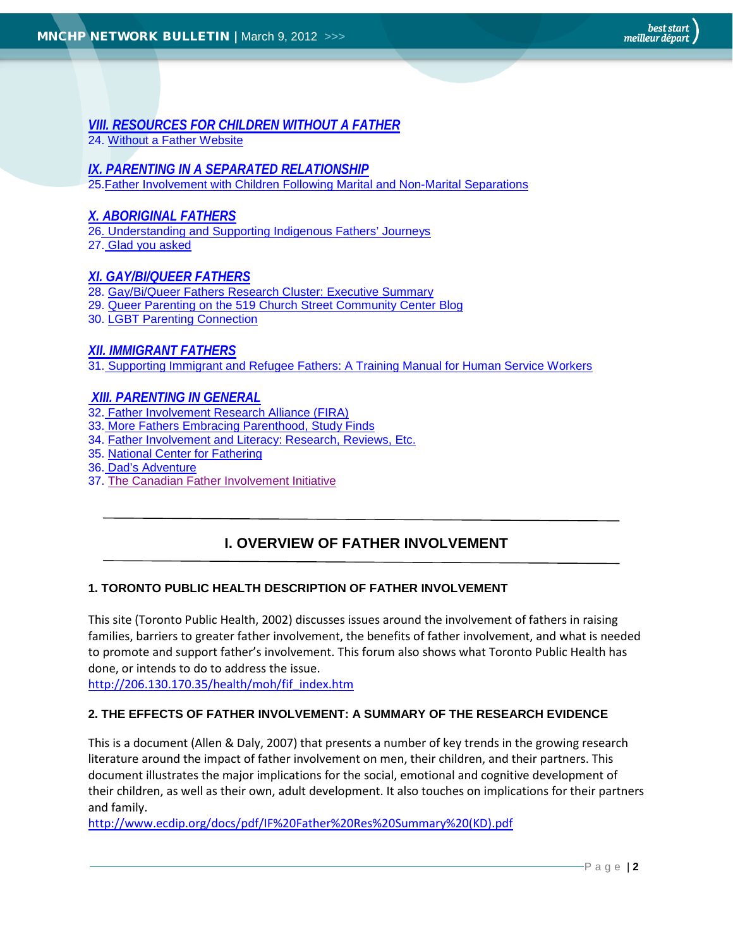<span id="page-1-0"></span>*[VIII. RESOURCES FOR CHILDREN WITHOUT A FATHER](#page-6-0)* 24. Without a Father Website

## *[IX. PARENTING IN A SEPARATED RELATIONSHIP](#page-7-0)*

25. Father Involvement with Children Following Marital and Non-Marital Separations

## *[X. ABORIGINAL FATHERS](#page-7-0)*

26. Understanding and Supporting Indigenous Fathers' Journeys 27. Glad you asked

## *[XI. GAY/BI/QUEER FATHERS](#page-8-0)*

28. Gay/Bi/Queer Fathers Research Cluster: Executive Summary

- 29. Queer Parenting on the 519 Church Street Community Center Blog
- 30. LGBT Parenting Connection

## *[XII. IMMIGRANT FATHERS](#page-8-1)*

31. Supporting Immigrant and Refugee Fathers: A Training Manual for Human Service Workers

## *[XIII. PARENTING IN GENERAL](#page-9-0)*

- 32. Father Involvement Research Alliance (FIRA)
- 33. More Fathers Embracing Parenthood, Study Finds
- 34. Father Involvement and Literacy: Research, Reviews, Etc.
- 35. National Center for Fathering
- 36. Dad's Adventure
- 37. [The Canadian Father Involvement Initiative](#page-10-0)

# **I. OVERVIEW OF FATHER INVOLVEMENT**

#### <span id="page-1-1"></span>**1. TORONTO PUBLIC HEALTH DESCRIPTION OF FATHER INVOLVEMENT**

This site (Toronto Public Health, 2002) discusses issues around the involvement of fathers in raising families, barriers to greater father involvement, the benefits of father involvement, and what is needed to promote and support father's involvement. This forum also shows what Toronto Public Health has done, or intends to do to address the issue.

[http://206.130.170.35/health/moh/fif\\_index.htm](http://206.130.170.35/health/moh/fif_index.htm)

#### <span id="page-1-2"></span>**2. THE EFFECTS OF FATHER INVOLVEMENT: A SUMMARY OF THE RESEARCH EVIDENCE**

This is a document (Allen & Daly, 2007) that presents a number of key trends in the growing research literature around the impact of father involvement on men, their children, and their partners. This document illustrates the major implications for the social, emotional and cognitive development of their children, as well as their own, adult development. It also touches on implications for their partners and family.

[http://www.ecdip.org/docs/pdf/IF%20Father%20Res%20Summary%20\(KD\).pdf](http://www.ecdip.org/docs/pdf/IF%20Father%20Res%20Summary%20(KD).pdf)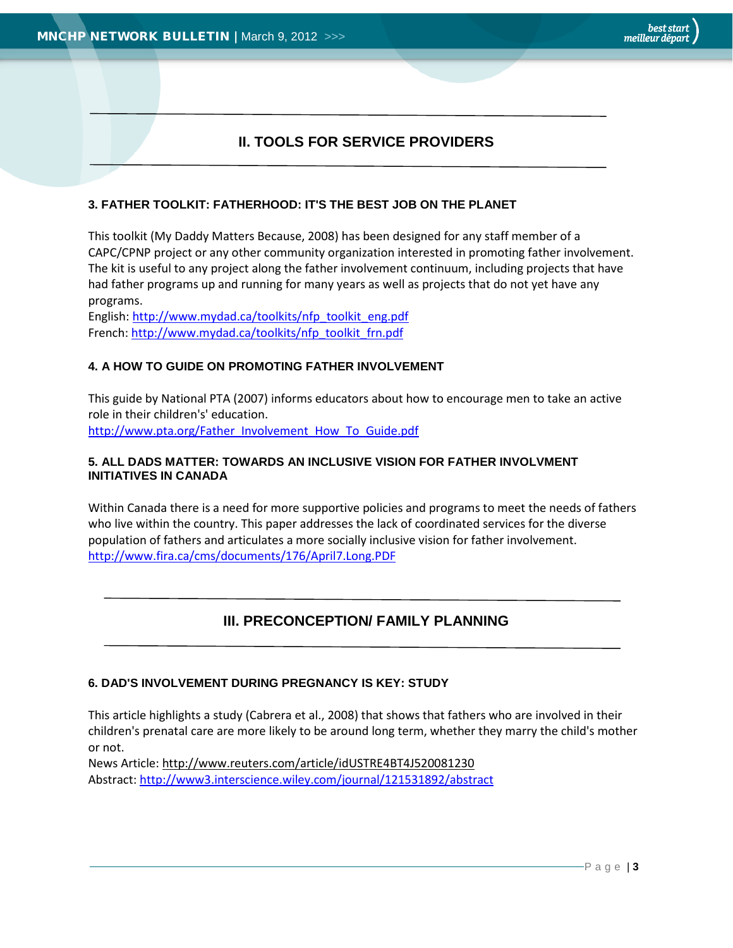# **II. TOOLS FOR SERVICE PROVIDERS**

## <span id="page-2-1"></span><span id="page-2-0"></span>**3. FATHER TOOLKIT: FATHERHOOD: IT'S THE BEST JOB ON THE PLANET**

This toolkit (My Daddy Matters Because, 2008) has been designed for any staff member of a CAPC/CPNP project or any other community organization interested in promoting father involvement. The kit is useful to any project along the father involvement continuum, including projects that have had father programs up and running for many years as well as projects that do not yet have any programs.

English: http://www.mydad.ca/toolkits/nfp\_toolkit\_eng.pdf French: http://www.mydad.ca/toolkits/nfp\_toolkit\_frn.pdf

## <span id="page-2-2"></span>**4. A HOW TO GUIDE ON PROMOTING FATHER INVOLVEMENT**

This guide by National PTA (2007) informs educators about how to encourage men to take an active role in their children's' education. [http://www.pta.org/Father\\_Involvement\\_How\\_To\\_Guide.pdf](http://www.pta.org/Father_Involvement_How_To_Guide.pdf)

#### <span id="page-2-3"></span>**5. ALL DADS MATTER: TOWARDS AN INCLUSIVE VISION FOR FATHER INVOLVMENT INITIATIVES IN CANADA**

Within Canada there is a need for more supportive policies and programs to meet the needs of fathers who live within the country. This paper addresses the lack of coordinated services for the diverse population of fathers and articulates a more socially inclusive vision for father involvement. <http://www.fira.ca/cms/documents/176/April7.Long.PDF>

# **III. PRECONCEPTION/ FAMILY PLANNING**

#### <span id="page-2-5"></span><span id="page-2-4"></span>**6. DAD'S INVOLVEMENT DURING PREGNANCY IS KEY: STUDY**

This article highlights a study (Cabrera et al., 2008) that shows that fathers who are involved in their children's prenatal care are more likely to be around long term, whether they marry the child's mother or not.

News Article: http://www.reuters.com/article/idUSTRE4BT4J520081230 Abstract[: http://www3.interscience.wiley.com/journal/121531892/abstract](http://www3.interscience.wiley.com/journal/121531892/abstract)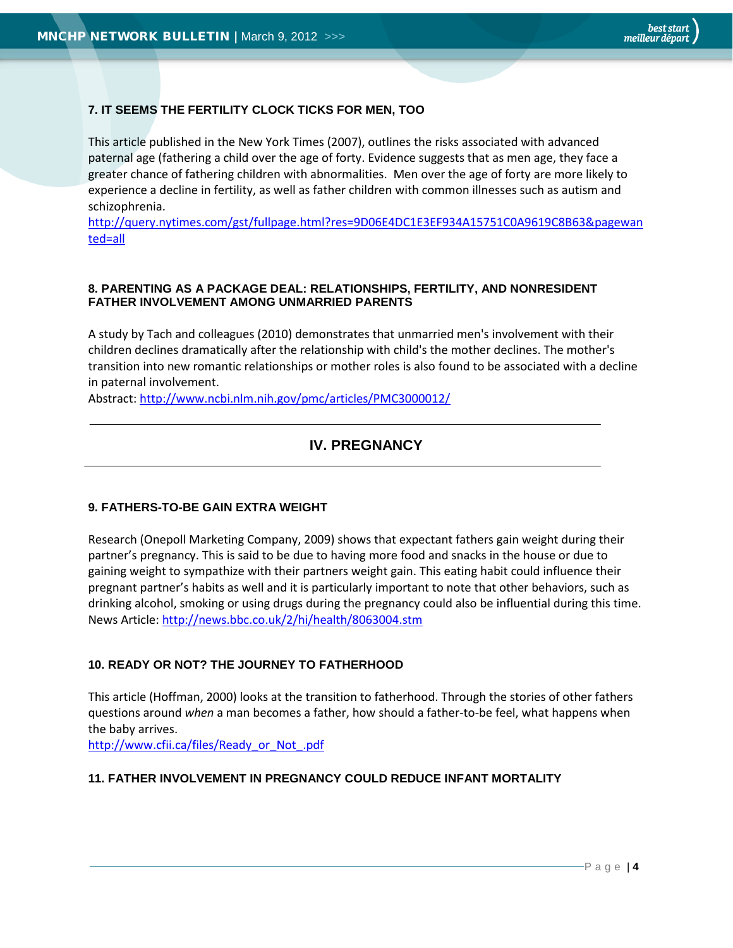## <span id="page-3-2"></span><span id="page-3-0"></span>**7. IT SEEMS THE FERTILITY CLOCK TICKS FOR MEN, TOO**

This article published in the New York Times (2007), outlines the risks associated with advanced paternal age (fathering a child over the age of forty. Evidence suggests that as men age, they face a greater chance of fathering children with abnormalities. Men over the age of forty are more likely to experience a decline in fertility, as well as father children with common illnesses such as autism and schizophrenia.

[http://query.nytimes.com/gst/fullpage.html?res=9D06E4DC1E3EF934A15751C0A9619C8B63&pagewan](http://query.nytimes.com/gst/fullpage.html?res=9D06E4DC1E3EF934A15751C0A9619C8B63&pagewanted=all) [ted=all](http://query.nytimes.com/gst/fullpage.html?res=9D06E4DC1E3EF934A15751C0A9619C8B63&pagewanted=all)

#### <span id="page-3-1"></span>**8. PARENTING AS A PACKAGE DEAL: RELATIONSHIPS, FERTILITY, AND NONRESIDENT FATHER INVOLVEMENT AMONG UNMARRIED PARENTS**

A study by Tach and colleagues (2010) demonstrates that unmarried men's involvement with their children declines dramatically after the relationship with child's the mother declines. The mother's transition into new romantic relationships or mother roles is also found to be associated with a decline in paternal involvement.

Abstract: <http://www.ncbi.nlm.nih.gov/pmc/articles/PMC3000012/>

# **IV. PREGNANCY**

#### <span id="page-3-3"></span>**9. FATHERS-TO-BE GAIN EXTRA WEIGHT**

Research (Onepoll Marketing Company, 2009) shows that expectant fathers gain weight during their partner's pregnancy. This is said to be due to having more food and snacks in the house or due to gaining weight to sympathize with their partners weight gain. This eating habit could influence their pregnant partner's habits as well and it is particularly important to note that other behaviors, such as drinking alcohol, smoking or using drugs during the pregnancy could also be influential during this time. News Article[: http://news.bbc.co.uk/2/hi/health/8063004.stm](http://news.bbc.co.uk/2/hi/health/8063004.stm)

#### <span id="page-3-4"></span>**10. READY OR NOT? THE JOURNEY TO FATHERHOOD**

This article (Hoffman, 2000) looks at the transition to fatherhood. Through the stories of other fathers questions around *when* a man becomes a father, how should a father-to-be feel, what happens when the baby arrives.

[http://www.cfii.ca/files/Ready\\_or\\_Not\\_.pdf](http://www.cfii.ca/files/Ready_or_Not_.pdf)

#### <span id="page-3-5"></span>**11. FATHER INVOLVEMENT IN PREGNANCY COULD REDUCE INFANT MORTALITY**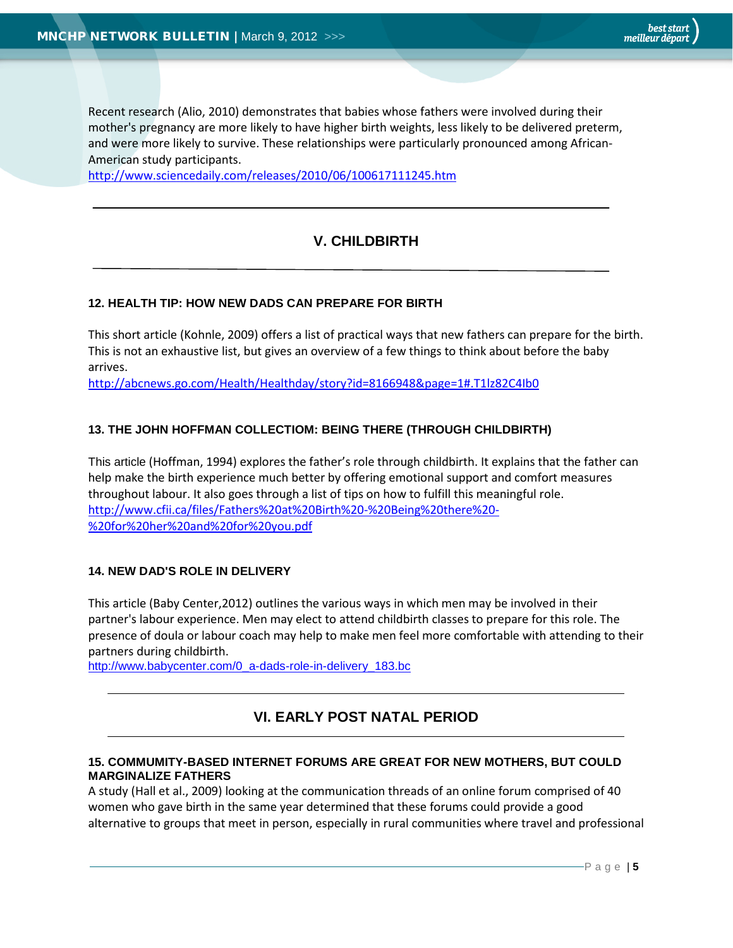<span id="page-4-4"></span>Recent research (Alio, 2010) demonstrates that babies whose fathers were involved during their mother's pregnancy are more likely to have higher birth weights, less likely to be delivered preterm, and were more likely to survive. These relationships were particularly pronounced among African-American study participants.

<span id="page-4-0"></span><http://www.sciencedaily.com/releases/2010/06/100617111245.htm>

# **V. CHILDBIRTH**

#### <span id="page-4-1"></span>**12. HEALTH TIP: HOW NEW DADS CAN PREPARE FOR BIRTH**

This short article (Kohnle, 2009) offers a list of practical ways that new fathers can prepare for the birth. This is not an exhaustive list, but gives an overview of a few things to think about before the baby arrives.

<http://abcnews.go.com/Health/Healthday/story?id=8166948&page=1#.T1lz82C4Ib0>

#### <span id="page-4-2"></span>**13. THE JOHN HOFFMAN COLLECTIOM: BEING THERE (THROUGH CHILDBIRTH)**

This article (Hoffman, 1994) explores the father's role through childbirth. It explains that the father can help make the birth experience much better by offering emotional support and comfort measures throughout labour. It also goes through a list of tips on how to fulfill this meaningful role. http://www.cfii.ca/files/Fathers%20at%20Birth%20-%20Being%20there%20- %20for%20her%20and%20for%20you.pdf

#### <span id="page-4-3"></span>**14. NEW DAD'S ROLE IN DELIVERY**

This article (Baby Center,2012) outlines the various ways in which men may be involved in their partner's labour experience. Men may elect to attend childbirth classes to prepare for this role. The presence of doula or labour coach may help to make men feel more comfortable with attending to their partners during childbirth.

http://www.babycenter.com/0\_a-dads-role-in-delivery\_183.bc

## **VI. EARLY POST NATAL PERIOD**

#### <span id="page-4-5"></span>**15. COMMUMITY-BASED INTERNET FORUMS ARE GREAT FOR NEW MOTHERS, BUT COULD MARGINALIZE FATHERS**

A study (Hall et al., 2009) looking at the communication threads of an online forum comprised of 40 women who gave birth in the same year determined that these forums could provide a good alternative to groups that meet in person, especially in rural communities where travel and professional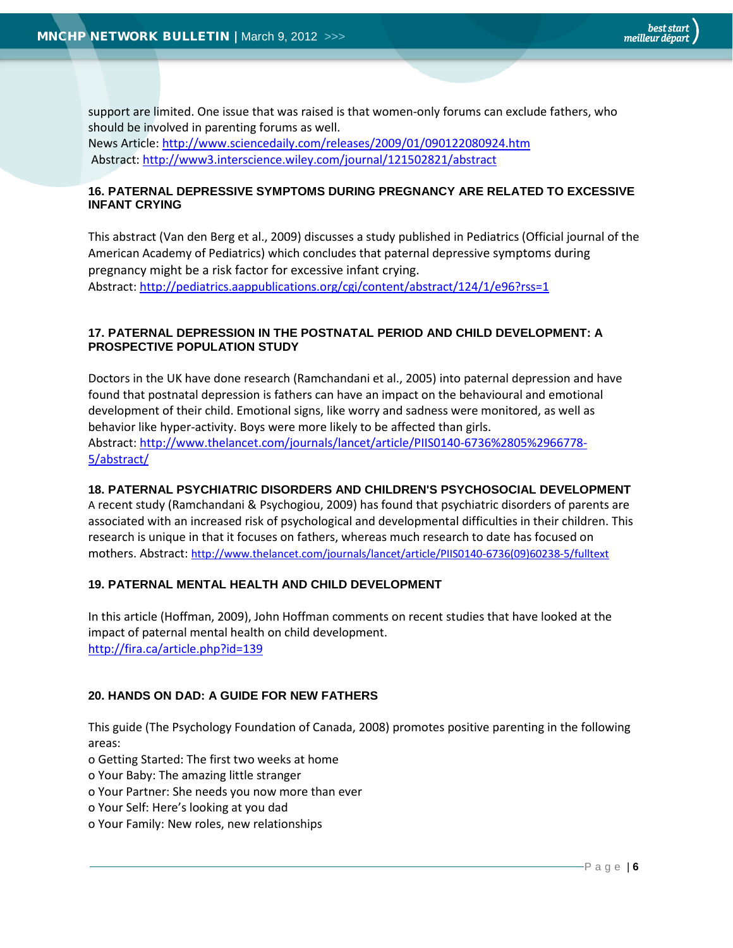support are limited. One issue that was raised is that women-only forums can exclude fathers, who should be involved in parenting forums as well. News Article[: http://www.sciencedaily.com/releases/2009/01/090122080924.htm](http://www.sciencedaily.com/releases/2009/01/090122080924.htm) Abstract:<http://www3.interscience.wiley.com/journal/121502821/abstract>

#### <span id="page-5-0"></span>**16. PATERNAL DEPRESSIVE SYMPTOMS DURING PREGNANCY ARE RELATED TO EXCESSIVE INFANT CRYING**

This abstract (Van den Berg et al., 2009) discusses a study published in Pediatrics (Official journal of the American Academy of Pediatrics) which concludes that paternal depressive symptoms during pregnancy might be a risk factor for excessive infant crying. Abstract[: http://pediatrics.aappublications.org/cgi/content/abstract/124/1/e96?rss=1](http://pediatrics.aappublications.org/cgi/content/abstract/124/1/e96?rss=1)

#### <span id="page-5-1"></span>**17. PATERNAL DEPRESSION IN THE POSTNATAL PERIOD AND CHILD DEVELOPMENT: A PROSPECTIVE POPULATION STUDY**

Doctors in the UK have done research (Ramchandani et al., 2005) into paternal depression and have found that postnatal depression is fathers can have an impact on the behavioural and emotional development of their child. Emotional signs, like worry and sadness were monitored, as well as behavior like hyper-activity. Boys were more likely to be affected than girls. Abstract[: http://www.thelancet.com/journals/lancet/article/PIIS0140-6736%2805%2966778-](http://www.thelancet.com/journals/lancet/article/PIIS0140-6736%2805%2966778-5/abstract/) [5/abstract/](http://www.thelancet.com/journals/lancet/article/PIIS0140-6736%2805%2966778-5/abstract/)

## <span id="page-5-2"></span>**18. PATERNAL PSYCHIATRIC DISORDERS AND CHILDREN'S PSYCHOSOCIAL DEVELOPMENT**

A recent study (Ramchandani & Psychogiou, 2009) has found that psychiatric disorders of parents are associated with an increased risk of psychological and developmental difficulties in their children. This research is unique in that it focuses on fathers, whereas much research to date has focused on mothers. Abstract[: http://www.thelancet.com/journals/lancet/article/PIIS0140-6736\(09\)60238-5/fulltext](http://www.thelancet.com/journals/lancet/article/PIIS0140-6736(09)60238-5/fulltext)

#### <span id="page-5-3"></span>**19. PATERNAL MENTAL HEALTH AND CHILD DEVELOPMENT**

In this article (Hoffman, 2009), John Hoffman comments on recent studies that have looked at the impact of paternal mental health on child development. <http://fira.ca/article.php?id=139>

#### <span id="page-5-4"></span>**20. HANDS ON DAD: A GUIDE FOR NEW FATHERS**

This guide (The Psychology Foundation of Canada, 2008) promotes positive parenting in the following areas:

- o Getting Started: The first two weeks at home
- o Your Baby: The amazing little stranger
- o Your Partner: She needs you now more than ever
- o Your Self: Here's looking at you dad
- o Your Family: New roles, new relationships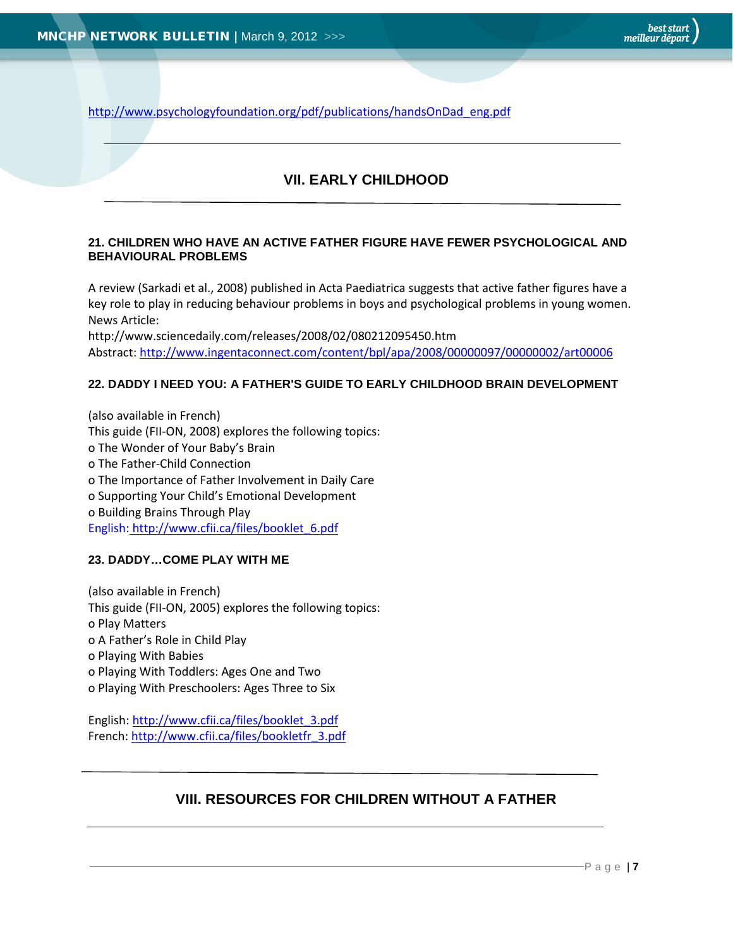<span id="page-6-0"></span>[http://www.psychologyfoundation.org/pdf/publications/handsOnDad\\_eng.pdf](http://www.psychologyfoundation.org/pdf/publications/handsOnDad_eng.pdf)

# **VII. EARLY CHILDHOOD**

#### <span id="page-6-1"></span>**21. CHILDREN WHO HAVE AN ACTIVE FATHER FIGURE HAVE FEWER PSYCHOLOGICAL AND BEHAVIOURAL PROBLEMS**

A review (Sarkadi et al., 2008) published in Acta Paediatrica suggests that active father figures have a key role to play in reducing behaviour problems in boys and psychological problems in young women. News Article:

http://www.sciencedaily.com/releases/2008/02/080212095450.htm Abstract[: http://www.ingentaconnect.com/content/bpl/apa/2008/00000097/00000002/art00006](http://www.ingentaconnect.com/content/bpl/apa/2008/00000097/00000002/art00006)

#### <span id="page-6-2"></span>**22. DADDY I NEED YOU: A FATHER'S GUIDE TO EARLY CHILDHOOD BRAIN DEVELOPMENT**

(also available in French) This guide (FII-ON, 2008) explores the following topics: o The Wonder of Your Baby's Brain o The Father-Child Connection o The Importance of Father Involvement in Daily Care o Supporting Your Child's Emotional Development o Building Brains Through Play English: http://www.cfii.ca/files/booklet\_6.pdf

#### <span id="page-6-3"></span>**23. DADDY…COME PLAY WITH ME**

(also available in French) This guide (FII-ON, 2005) explores the following topics: o Play Matters o A Father's Role in Child Play o Playing With Babies o Playing With Toddlers: Ages One and Two o Playing With Preschoolers: Ages Three to Six

English[: http://www.cfii.ca/files/booklet\\_3.pdf](http://www.cfii.ca/files/booklet_3.pdf) French[: http://www.cfii.ca/files/bookletfr\\_3.pdf](http://www.cfii.ca/files/bookletfr_3.pdf)

## **VIII. RESOURCES FOR CHILDREN WITHOUT A FATHER**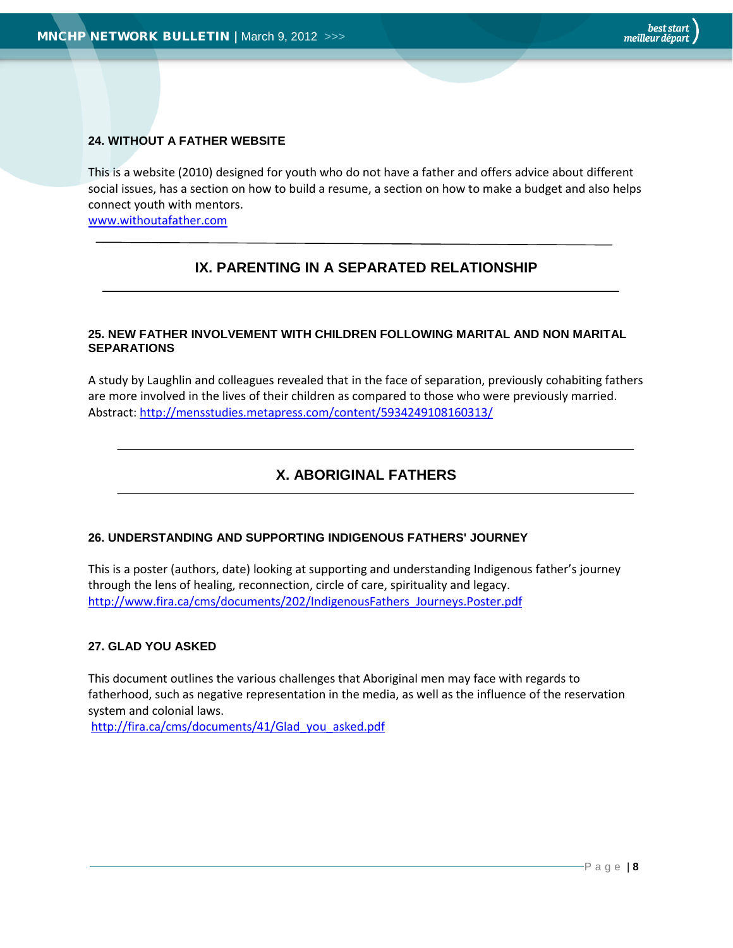#### <span id="page-7-0"></span>**24. WITHOUT A FATHER WEBSITE**

This is a website (2010) designed for youth who do not have a father and offers advice about different social issues, has a section on how to build a resume, a section on how to make a budget and also helps connect youth with mentors.

[www.withoutafather.com](http://www.withoutafather.com/)

# **IX. PARENTING IN A SEPARATED RELATIONSHIP**

#### **25. NEW FATHER INVOLVEMENT WITH CHILDREN FOLLOWING MARITAL AND NON MARITAL SEPARATIONS**

A study by Laughlin and colleagues revealed that in the face of separation, previously cohabiting fathers are more involved in the lives of their children as compared to those who were previously married. Abstract[: http://mensstudies.metapress.com/content/5934249108160313/](http://mensstudies.metapress.com/content/5934249108160313/)

# **X. ABORIGINAL FATHERS**

#### **26. UNDERSTANDING AND SUPPORTING INDIGENOUS FATHERS' JOURNEY**

This is a poster (authors, date) looking at supporting and understanding Indigenous father's journey through the lens of healing, reconnection, circle of care, spirituality and legacy. [http://www.fira.ca/cms/documents/202/IndigenousFathers\\_Journeys.Poster.pdf](http://www.fira.ca/cms/documents/202/IndigenousFathers_Journeys.Poster.pdf)

#### **27. GLAD YOU ASKED**

This document outlines the various challenges that Aboriginal men may face with regards to fatherhood, such as negative representation in the media, as well as the influence of the reservation system and colonial laws.

[http://fira.ca/cms/documents/41/Glad\\_you\\_asked.pdf](http://fira.ca/cms/documents/41/Glad_you_asked.pdf)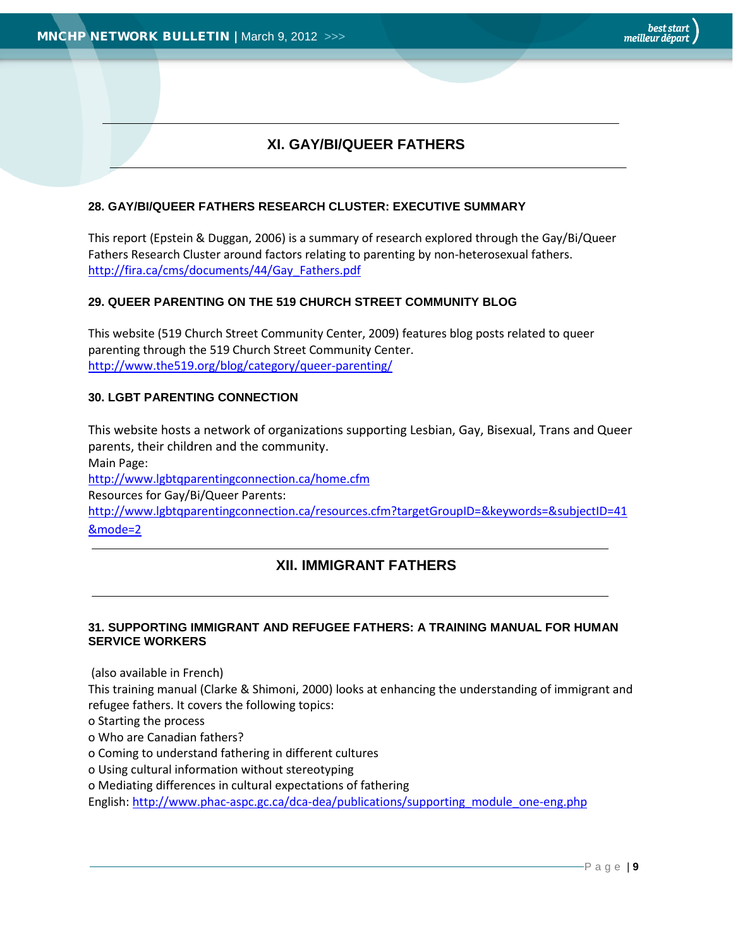# **XI. GAY/BI/QUEER FATHERS**

#### <span id="page-8-0"></span>**28. GAY/BI/QUEER FATHERS RESEARCH CLUSTER: EXECUTIVE SUMMARY**

This report (Epstein & Duggan, 2006) is a summary of research explored through the Gay/Bi/Queer Fathers Research Cluster around factors relating to parenting by non-heterosexual fathers. [http://fira.ca/cms/documents/44/Gay\\_Fathers.pdf](http://fira.ca/cms/documents/44/Gay_Fathers.pdf)

#### **29. QUEER PARENTING ON THE 519 CHURCH STREET COMMUNITY BLOG**

This website (519 Church Street Community Center, 2009) features blog posts related to queer parenting through the 519 Church Street Community Center. http://www.the519.org/blog/category/queer-parenting/

#### **30. LGBT PARENTING CONNECTION**

<span id="page-8-1"></span>This website hosts a network of organizations supporting Lesbian, Gay, Bisexual, Trans and Queer parents, their children and the community. Main Page: http://www.lgbtqparentingconnection.ca/home.cfm Resources for Gay/Bi/Queer Parents: http://www.lgbtqparentingconnection.ca/resources.cfm?targetGroupID=&keywords=&subjectID=41 &mode=2

## **XII. IMMIGRANT FATHERS**

#### **31. SUPPORTING IMMIGRANT AND REFUGEE FATHERS: A TRAINING MANUAL FOR HUMAN SERVICE WORKERS**

(also available in French)

This training manual (Clarke & Shimoni, 2000) looks at enhancing the understanding of immigrant and refugee fathers. It covers the following topics:

o Starting the process

o Who are Canadian fathers?

o Coming to understand fathering in different cultures

o Using cultural information without stereotyping

o Mediating differences in cultural expectations of fathering

English[: http://www.phac-aspc.gc.ca/dca-dea/publications/supporting\\_module\\_one-eng.php](http://www.phac-aspc.gc.ca/dca-dea/publications/supporting_module_one-eng.php)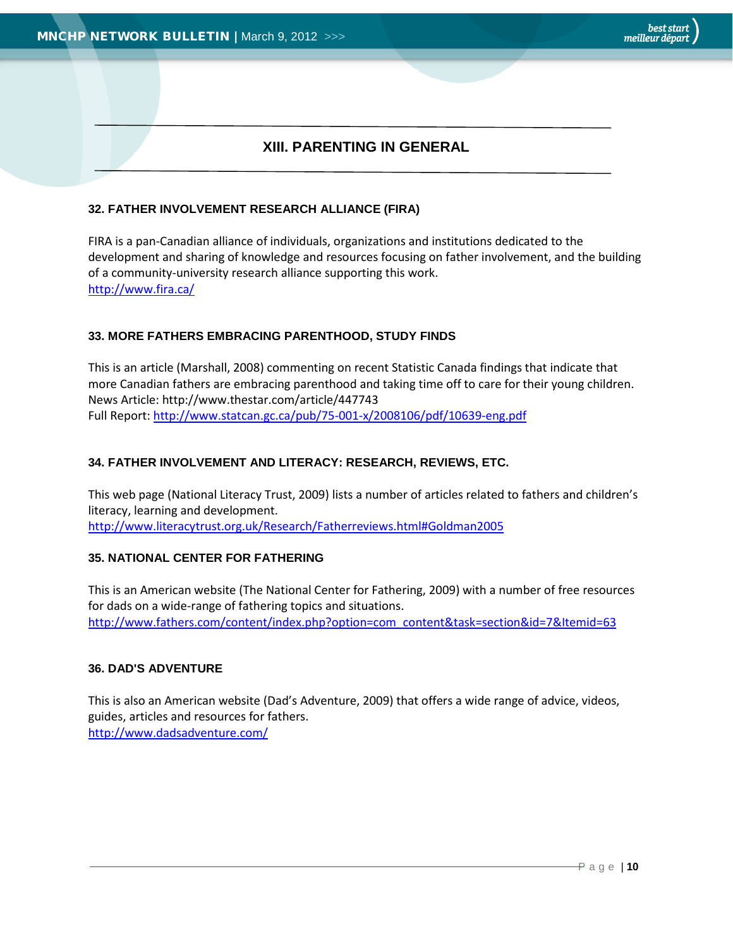# **XIII. PARENTING IN GENERAL**

#### <span id="page-9-0"></span>**32. FATHER INVOLVEMENT RESEARCH ALLIANCE (FIRA)**

FIRA is a pan-Canadian alliance of individuals, organizations and institutions dedicated to the development and sharing of knowledge and resources focusing on father involvement, and the building of a community-university research alliance supporting this work. <http://www.fira.ca/>

#### **33. MORE FATHERS EMBRACING PARENTHOOD, STUDY FINDS**

This is an article (Marshall, 2008) commenting on recent Statistic Canada findings that indicate that more Canadian fathers are embracing parenthood and taking time off to care for their young children. News Article: http://www.thestar.com/article/447743 Full Report:<http://www.statcan.gc.ca/pub/75-001-x/2008106/pdf/10639-eng.pdf>

#### **34. FATHER INVOLVEMENT AND LITERACY: RESEARCH, REVIEWS, ETC.**

This web page (National Literacy Trust, 2009) lists a number of articles related to fathers and children's literacy, learning and development. <http://www.literacytrust.org.uk/Research/Fatherreviews.html#Goldman2005>

#### **35. NATIONAL CENTER FOR FATHERING**

This is an American website (The National Center for Fathering, 2009) with a number of free resources for dads on a wide-range of fathering topics and situations. [http://www.fathers.com/content/index.php?option=com\\_content&task=section&id=7&Itemid=63](http://www.fathers.com/content/index.php?option=com_content&task=section&id=7&Itemid=63)

#### **36. DAD'S ADVENTURE**

This is also an American website (Dad's Adventure, 2009) that offers a wide range of advice, videos, guides, articles and resources for fathers. <http://www.dadsadventure.com/>